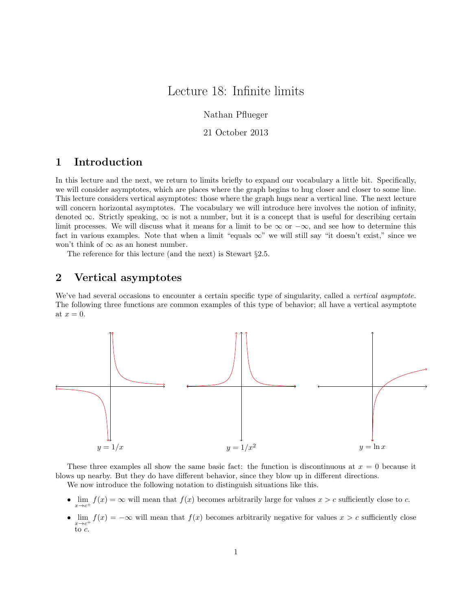# Lecture 18: Infinite limits

Nathan Pflueger

21 October 2013

## 1 Introduction

In this lecture and the next, we return to limits briefly to expand our vocabulary a little bit. Specifically, we will consider asymptotes, which are places where the graph begins to hug closer and closer to some line. This lecture considers vertical asymptotes: those where the graph hugs near a vertical line. The next lecture will concern horizontal asymptotes. The vocabulary we will introduce here involves the notion of infinity, denoted  $\infty$ . Strictly speaking,  $\infty$  is not a number, but it is a concept that is useful for describing certain limit processes. We will discuss what it means for a limit to be  $\infty$  or  $-\infty$ , and see how to determine this fact in various examples. Note that when a limit "equals  $\infty$ " we will still say "it doesn't exist," since we won't think of  $\infty$  as an honest number.

The reference for this lecture (and the next) is Stewart §2.5.

#### 2 Vertical asymptotes

We've had several occasions to encounter a certain specific type of singularity, called a *vertical asymptote.* The following three functions are common examples of this type of behavior; all have a vertical asymptote at  $x = 0$ .



These three examples all show the same basic fact: the function is discontinuous at  $x = 0$  because it blows up nearby. But they do have different behavior, since they blow up in different directions.

We now introduce the following notation to distinguish situations like this.

- $\lim_{x \to c^+} f(x) = \infty$  will mean that  $f(x)$  becomes arbitrarily large for values  $x > c$  sufficiently close to c.  $x \rightarrow c^+$
- $\lim_{x \to c^+} f(x) = -\infty$  will mean that  $f(x)$  becomes arbitrarily negative for values  $x > c$  sufficiently close to c.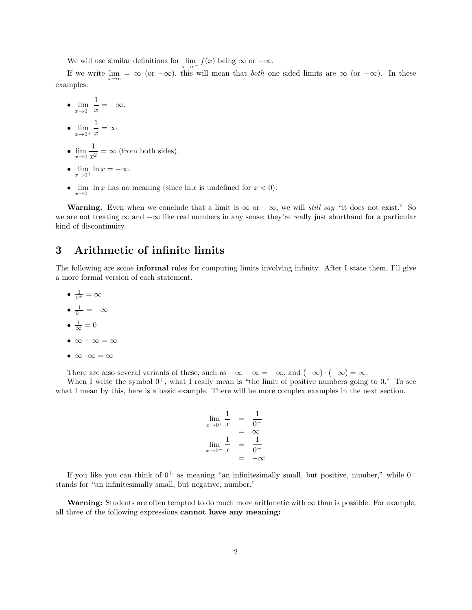We will use similar definitions for  $\lim_{x \to c^{-}} f(x)$  being  $\infty$  or  $-\infty$ .  $x \rightarrow c^{-}$ 

If we write  $\lim_{x\to c} = \infty$  (or  $-\infty$ ), this will mean that *both* one sided limits are  $\infty$  (or  $-\infty$ ). In these examples:

- $\lim_{x\to 0^-}$ 1  $\frac{1}{x} = -\infty.$ •  $\lim_{x\to 0^+}$ 1  $\frac{1}{x} = \infty.$
- $\lim_{x\to 0} \frac{1}{x^2}$  $\frac{1}{x^2} = \infty$  (from both sides).
- $\lim_{x\to 0^+} \ln x = -\infty.$
- $\lim_{x\to 0^-} \ln x$  has no meaning (since  $\ln x$  is undefined for  $x < 0$ ).  $x\rightarrow 0^-$

**Warning.** Even when we conclude that a limit is  $\infty$  or  $-\infty$ , we will *still say* "it does not exist." So we are not treating ∞ and −∞ like real numbers in any sense; they're really just shorthand for a particular kind of discontinuity.

### 3 Arithmetic of infinite limits

The following are some informal rules for computing limits involving infinity. After I state them, I'll give a more formal version of each statement.

- $\bullet$   $\frac{1}{0^+} = \infty$  $\bullet$   $\frac{1}{0^-} = -\infty$ •  $\frac{1}{\infty} = 0$
- $\infty + \infty = \infty$
- $\bullet \ \infty \cdot \infty = \infty$

There are also several variants of these, such as  $-\infty - \infty = -\infty$ , and  $(-\infty) \cdot (-\infty) = \infty$ .

When I write the symbol  $0^+$ , what I really mean is "the limit of positive numbers going to 0." To see what I mean by this, here is a basic example. There will be more complex examples in the next section.

$$
\lim_{x \to 0^+} \frac{1}{x} = \frac{1}{0^+}
$$

$$
= \infty
$$

$$
\lim_{x \to 0^-} \frac{1}{x} = \frac{1}{0^-}
$$

$$
= -\infty
$$

If you like you can think of  $0^+$  as meaning "an infinitesimally small, but positive, number," while  $0^$ stands for "an infinitesimally small, but negative, number."

Warning: Students are often tempted to do much more arithmetic with  $\infty$  than is possible. For example, all three of the following expressions cannot have any meaning: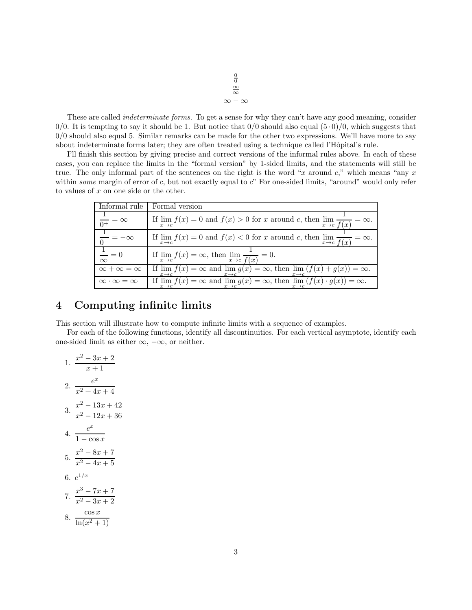$\frac{0}{0}$ <br>⊗  $∞ - ∞$ 

These are called *indeterminate forms.* To get a sense for why they can't have any good meaning, consider  $0/0$ . It is tempting to say it should be 1. But notice that  $0/0$  should also equal  $(5 \cdot 0)/0$ , which suggests that  $0/0$  should also equal 5. Similar remarks can be made for the other two expressions. We'll have more to say about indeterminate forms later; they are often treated using a technique called l'Hôpital's rule.

I'll finish this section by giving precise and correct versions of the informal rules above. In each of these cases, you can replace the limits in the "formal version" by 1-sided limits, and the statements will still be true. The only informal part of the sentences on the right is the word "x around  $c$ ," which means "any x" within *some* margin of error of c, but not exactly equal to c" For one-sided limits, "around" would only refer to values of x on one side or the other.

| Informal rule                         | Formal version                                                                                                                                            |
|---------------------------------------|-----------------------------------------------------------------------------------------------------------------------------------------------------------|
| $\overline{0^+} = \infty$             | If $\lim_{x \to c} f(x) = 0$ and $f(x) > 0$ for x around c, then $\lim_{x \to c} \frac{1}{f(x)} = \infty$ .                                               |
| $\frac{1}{0^-} = -\infty$             | If $\lim_{x \to c} f(x) = 0$ and $f(x) < 0$ for x around c, then $\lim_{x \to c} \frac{1}{f(x)}$<br>$=\infty$ .                                           |
| $\frac{1}{\phantom{0}}=0$<br>$\infty$ | If $\lim_{x\to c} f(x) = \infty$ , then $\lim_{x\to c} \frac{1}{f(x)} = 0$ .                                                                              |
| $\infty + \infty = \infty$            | If $\lim f(x) = \infty$ and $\lim g(x) = \infty$ , then $\lim (f(x) + g(x)) = \infty$ .<br>$x \rightarrow c$<br>$x\rightarrow c$<br>$x \rightarrow c$     |
| $\infty \cdot \infty = \infty$        | If $\lim f(x) = \infty$ and $\lim g(x) = \infty$ , then $\lim (f(x) \cdot g(x)) = \infty$ .<br>$x\rightarrow c$<br>$x \rightarrow c$<br>$x \rightarrow c$ |

# 4 Computing infinite limits

This section will illustrate how to compute infinite limits with a sequence of examples.

For each of the following functions, identify all discontinuities. For each vertical asymptote, identify each one-sided limit as either  $\infty$ ,  $-\infty$ , or neither.

1. 
$$
\frac{x^2 - 3x + 2}{x + 1}
$$
  
\n2. 
$$
\frac{e^x}{x^2 + 4x + 4}
$$
  
\n3. 
$$
\frac{x^2 - 13x + 42}{x^2 - 12x + 36}
$$
  
\n4. 
$$
\frac{e^x}{1 - \cos x}
$$
  
\n5. 
$$
\frac{x^2 - 8x + 7}{x^2 - 4x + 5}
$$
  
\n6. 
$$
e^{1/x}
$$
  
\n7. 
$$
\frac{x^3 - 7x + 7}{x^2 - 3x + 2}
$$
  
\n8. 
$$
\frac{\cos x}{\ln(x^2 + 1)}
$$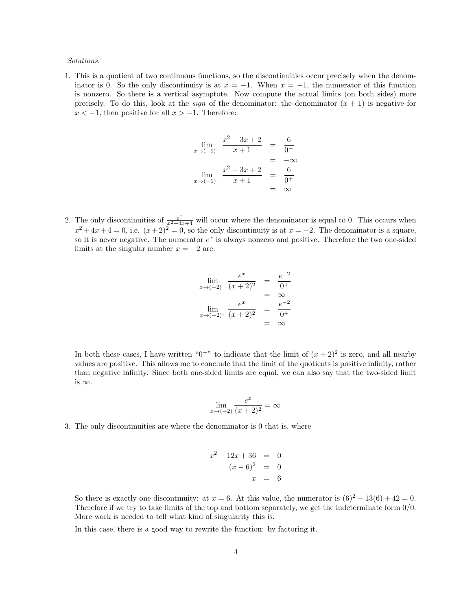#### *Solutions.*

1. This is a quotient of two continuous functions, so the discontinuities occur precisely when the denominator is 0. So the only discontinuity is at  $x = -1$ . When  $x = -1$ , the numerator of this function is nonzero. So there is a vertical asymptote. Now compute the actual limits (on both sides) more precisely. To do this, look at the *sign* of the denominator: the denominator  $(x + 1)$  is negative for  $x < -1$ , then positive for all  $x > -1$ . Therefore:

$$
\lim_{x \to (-1)^{-}} \frac{x^{2} - 3x + 2}{x + 1} = \frac{6}{0^{-}}\n= -\infty\n\lim_{x \to (-1)^{+}} \frac{x^{2} - 3x + 2}{x + 1} = \frac{6}{0^{+}}\n= -\infty
$$

2. The only discontinuities of  $\frac{e^x}{x^2+4x+4}$  will occur where the denominator is equal to 0. This occurs when  $x^2 + 4x + 4 = 0$ , i.e.  $(x+2)^2 = 0$ , so the only discontinuity is at  $x = -2$ . The denominator is a square, so it is never negative. The numerator  $e^x$  is always nonzero and positive. Therefore the two one-sided limits at the singular number  $x = -2$  are:

$$
\lim_{x \to (-2)^{-}} \frac{e^{x}}{(x+2)^{2}} = \frac{e^{-2}}{0^{+}}
$$
\n
$$
= \infty
$$
\n
$$
\lim_{x \to (-2)^{+}} \frac{e^{x}}{(x+2)^{2}} = \frac{e^{-2}}{0^{+}}
$$
\n
$$
= \infty
$$

In both these cases, I have written " $0^{+}$ " to indicate that the limit of  $(x+2)^2$  is zero, and all nearby values are positive. This allows me to conclude that the limit of the quotients is positive infinity, rather than negative infinity. Since both one-sided limits are equal, we can also say that the two-sided limit is  $\infty$ .

$$
\lim_{x \to (-2)} \frac{e^x}{(x+2)^2} = \infty
$$

3. The only discontinuities are where the denominator is 0 that is, where

$$
x^{2} - 12x + 36 = 0
$$
  

$$
(x - 6)^{2} = 0
$$
  

$$
x = 6
$$

So there is exactly one discontinuity: at  $x = 6$ . At this value, the numerator is  $(6)^2 - 13(6) + 42 = 0$ . Therefore if we try to take limits of the top and bottom separately, we get the indeterminate form 0/0. More work is needed to tell what kind of singularity this is.

In this case, there is a good way to rewrite the function: by factoring it.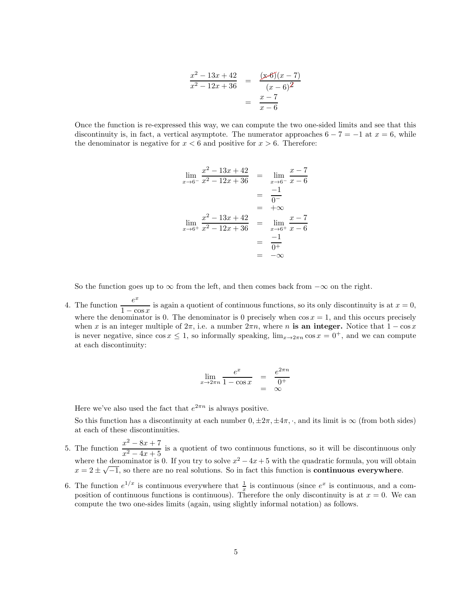$$
\frac{x^2 - 13x + 42}{x^2 - 12x + 36} = \frac{(x-6)(x-7)}{(x-6)^2}
$$

$$
= \frac{x-7}{x-6}
$$

Once the function is re-expressed this way, we can compute the two one-sided limits and see that this discontinuity is, in fact, a vertical asymptote. The numerator approaches  $6 - 7 = -1$  at  $x = 6$ , while the denominator is negative for  $x < 6$  and positive for  $x > 6$ . Therefore:

$$
\lim_{x \to 6^{-}} \frac{x^2 - 13x + 42}{x^2 - 12x + 36} = \lim_{x \to 6^{-}} \frac{x - 7}{x - 6}
$$

$$
= \frac{-1}{0^{-}}
$$

$$
\lim_{x \to 6^{+}} \frac{x^2 - 13x + 42}{x^2 - 12x + 36} = \lim_{x \to 6^{+}} \frac{x - 7}{x - 6}
$$

$$
= \frac{-1}{0^{+}}
$$

$$
= -\infty
$$

So the function goes up to  $\infty$  from the left, and then comes back from  $-\infty$  on the right.

4. The function  $\frac{e^x}{1}$  $\frac{1 - \cos x}{1 - \cos x}$  is again a quotient of continuous functions, so its only discontinuity is at  $x = 0$ , where the denominator is 0. The denominator is 0 precisely when  $\cos x = 1$ , and this occurs precisely when x is an integer multiple of  $2\pi$ , i.e. a number  $2\pi n$ , where n is an integer. Notice that  $1 - \cos x$ is never negative, since  $\cos x \leq 1$ , so informally speaking,  $\lim_{x\to 2\pi n} \cos x = 0^+$ , and we can compute at each discontinuity:

$$
\lim_{x \to 2\pi n} \frac{e^x}{1 - \cos x} = \frac{e^{2\pi n}}{0^+}
$$
  
=  $\infty$ 

Here we've also used the fact that  $e^{2\pi n}$  is always positive.

So this function has a discontinuity at each number  $0, \pm 2\pi, \pm 4\pi, \cdot$ , and its limit is  $\infty$  (from both sides) at each of these discontinuities.

- 5. The function  $\frac{x^2 8x + 7}{2}$  $\frac{x^2-4x+5}{x^2-4x+5}$  is a quotient of two continuous functions, so it will be discontinuous only where the denominator is 0. If you try to solve  $x^2 - 4x + 5$  with the quadratic formula, you will obtain  $x = 2 \pm \sqrt{-1}$ , so there are no real solutions. So in fact this function is **continuous everywhere**.
- 6. The function  $e^{1/x}$  is continuous everywhere that  $\frac{1}{x}$  is continuous (since  $e^x$  is continuous, and a composition of continuous functions is continuous). Therefore the only discontinuity is at  $x = 0$ . We can compute the two one-sides limits (again, using slightly informal notation) as follows.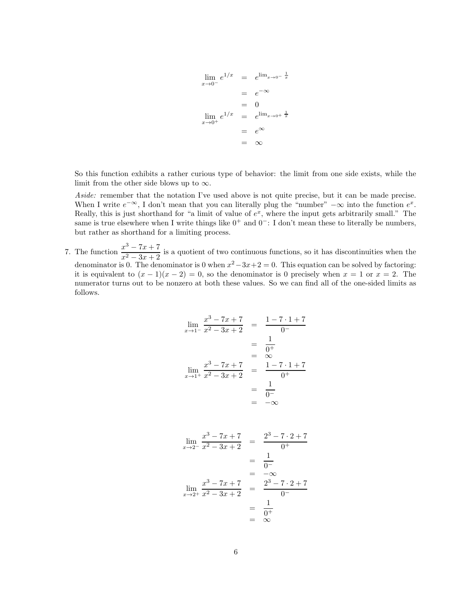$$
\lim_{x \to 0^{-}} e^{1/x} = e^{\lim_{x \to 0^{-}} \frac{1}{x}}
$$
\n
$$
= e^{-\infty}
$$
\n
$$
= 0
$$
\n
$$
\lim_{x \to 0^{+}} e^{1/x} = e^{\lim_{x \to 0^{+}} \frac{1}{x}}
$$
\n
$$
= e^{\infty}
$$
\n
$$
= \infty
$$

So this function exhibits a rather curious type of behavior: the limit from one side exists, while the limit from the other side blows up to  $\infty$ .

*Aside:* remember that the notation I've used above is not quite precise, but it can be made precise. When I write  $e^{-\infty}$ , I don't mean that you can literally plug the "number"  $-\infty$  into the function  $e^x$ . Really, this is just shorthand for "a limit of value of  $e^x$ , where the input gets arbitrarily small." The same is true elsewhere when I write things like  $0^+$  and  $0^-$ : I don't mean these to literally be numbers, but rather as shorthand for a limiting process.

7. The function  $\frac{x^3 - 7x + 7}{2}$  $\frac{x^2-3x+2}{x^2-3x+2}$  is a quotient of two continuous functions, so it has discontinuities when the denominator is 0. The denominator is 0 when  $x^2 - 3x + 2 = 0$ . This equation can be solved by factoring: it is equivalent to  $(x - 1)(x - 2) = 0$ , so the denominator is 0 precisely when  $x = 1$  or  $x = 2$ . The numerator turns out to be nonzero at both these values. So we can find all of the one-sided limits as follows.

$$
\lim_{x \to 1^{-}} \frac{x^3 - 7x + 7}{x^2 - 3x + 2} = \frac{1 - 7 \cdot 1 + 7}{0 - 1}
$$
\n
$$
= \frac{1}{0 + 1}
$$
\n
$$
\lim_{x \to 1^{+}} \frac{x^3 - 7x + 7}{x^2 - 3x + 2} = \frac{1 - 7 \cdot 1 + 7}{0 + 1}
$$
\n
$$
= \frac{1}{0 - 1}
$$
\n
$$
= -\infty
$$

$$
\lim_{x \to 2^{-}} \frac{x^3 - 7x + 7}{x^2 - 3x + 2} = \frac{2^3 - 7 \cdot 2 + 7}{0^+}
$$

$$
= \frac{1}{0^-}
$$

$$
= -\infty
$$

$$
\lim_{x \to 2^{+}} \frac{x^3 - 7x + 7}{x^2 - 3x + 2} = \frac{2^3 - 7 \cdot 2 + 7}{0^-}
$$

$$
= \frac{1}{0^+}
$$

$$
= \infty
$$